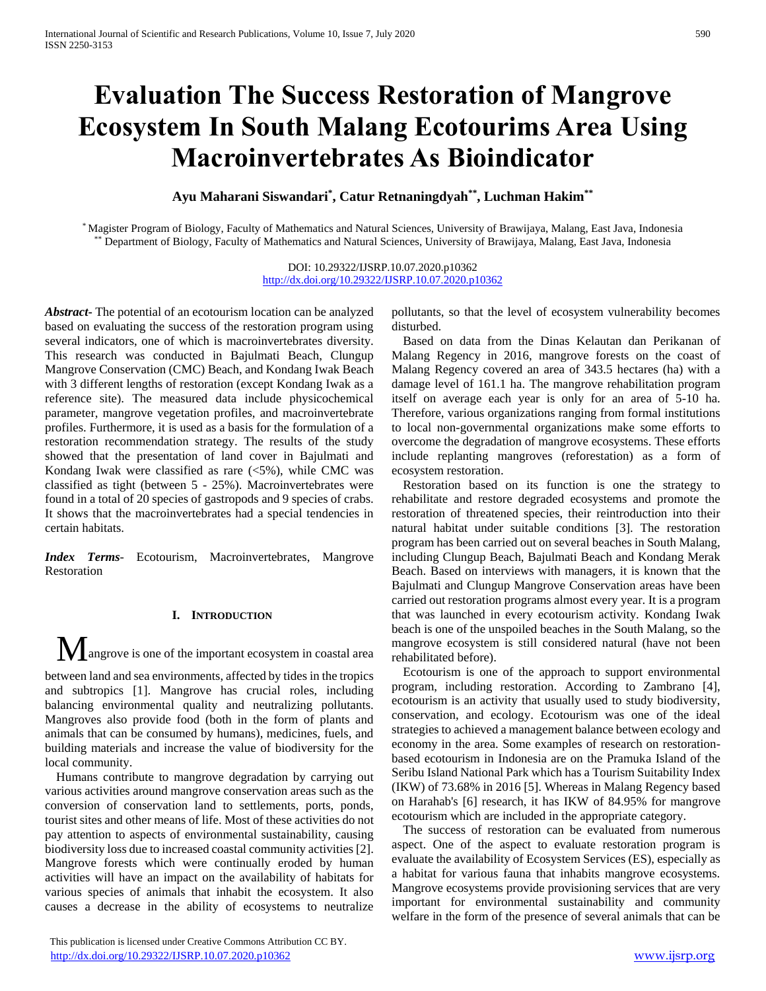# **Evaluation The Success Restoration of Mangrove Ecosystem In South Malang Ecotourims Area Using Macroinvertebrates As Bioindicator**

**Ayu Maharani Siswandari\* , Catur Retnaningdyah\*\* , Luchman Hakim\*\***

\* Magister Program of Biology, Faculty of Mathematics and Natural Sciences, University of Brawijaya, Malang, East Java, Indonesia \*\* Department of Biology, Faculty of Mathematics and Natural Sciences, University of Brawijaya, Malang, East Java, Indonesia

> DOI: 10.29322/IJSRP.10.07.2020.p10362 <http://dx.doi.org/10.29322/IJSRP.10.07.2020.p10362>

*Abstract***-** The potential of an ecotourism location can be analyzed based on evaluating the success of the restoration program using several indicators, one of which is macroinvertebrates diversity. This research was conducted in Bajulmati Beach, Clungup Mangrove Conservation (CMC) Beach, and Kondang Iwak Beach with 3 different lengths of restoration (except Kondang Iwak as a reference site). The measured data include physicochemical parameter, mangrove vegetation profiles, and macroinvertebrate profiles. Furthermore, it is used as a basis for the formulation of a restoration recommendation strategy. The results of the study showed that the presentation of land cover in Bajulmati and Kondang Iwak were classified as rare  $(<5\%)$ , while CMC was classified as tight (between 5 - 25%). Macroinvertebrates were found in a total of 20 species of gastropods and 9 species of crabs. It shows that the macroinvertebrates had a special tendencies in certain habitats.

*Index Terms*- Ecotourism, Macroinvertebrates, Mangrove Restoration

# **I. INTRODUCTION**

 $\mathbf M$  angrove is one of the important ecosystem in coastal area

between land and sea environments, affected by tides in the tropics and subtropics [1]. Mangrove has crucial roles, including balancing environmental quality and neutralizing pollutants. Mangroves also provide food (both in the form of plants and animals that can be consumed by humans), medicines, fuels, and building materials and increase the value of biodiversity for the local community.

Humans contribute to mangrove degradation by carrying out various activities around mangrove conservation areas such as the conversion of conservation land to settlements, ports, ponds, tourist sites and other means of life. Most of these activities do not pay attention to aspects of environmental sustainability, causing biodiversity loss due to increased coastal community activities [2]. Mangrove forests which were continually eroded by human activities will have an impact on the availability of habitats for various species of animals that inhabit the ecosystem. It also causes a decrease in the ability of ecosystems to neutralize

 This publication is licensed under Creative Commons Attribution CC BY. <http://dx.doi.org/10.29322/IJSRP.10.07.2020.p10362> [www.ijsrp.org](http://ijsrp.org/)

pollutants, so that the level of ecosystem vulnerability becomes disturbed.

Based on data from the Dinas Kelautan dan Perikanan of Malang Regency in 2016, mangrove forests on the coast of Malang Regency covered an area of 343.5 hectares (ha) with a damage level of 161.1 ha. The mangrove rehabilitation program itself on average each year is only for an area of 5-10 ha. Therefore, various organizations ranging from formal institutions to local non-governmental organizations make some efforts to overcome the degradation of mangrove ecosystems. These efforts include replanting mangroves (reforestation) as a form of ecosystem restoration.

Restoration based on its function is one the strategy to rehabilitate and restore degraded ecosystems and promote the restoration of threatened species, their reintroduction into their natural habitat under suitable conditions [3]. The restoration program has been carried out on several beaches in South Malang, including Clungup Beach, Bajulmati Beach and Kondang Merak Beach. Based on interviews with managers, it is known that the Bajulmati and Clungup Mangrove Conservation areas have been carried out restoration programs almost every year. It is a program that was launched in every ecotourism activity. Kondang Iwak beach is one of the unspoiled beaches in the South Malang, so the mangrove ecosystem is still considered natural (have not been rehabilitated before).

Ecotourism is one of the approach to support environmental program, including restoration. According to Zambrano [4], ecotourism is an activity that usually used to study biodiversity, conservation, and ecology. Ecotourism was one of the ideal strategies to achieved a management balance between ecology and economy in the area. Some examples of research on restorationbased ecotourism in Indonesia are on the Pramuka Island of the Seribu Island National Park which has a Tourism Suitability Index (IKW) of 73.68% in 2016 [5]. Whereas in Malang Regency based on Harahab's [6] research, it has IKW of 84.95% for mangrove ecotourism which are included in the appropriate category.

The success of restoration can be evaluated from numerous aspect. One of the aspect to evaluate restoration program is evaluate the availability of Ecosystem Services (ES), especially as a habitat for various fauna that inhabits mangrove ecosystems. Mangrove ecosystems provide provisioning services that are very important for environmental sustainability and community welfare in the form of the presence of several animals that can be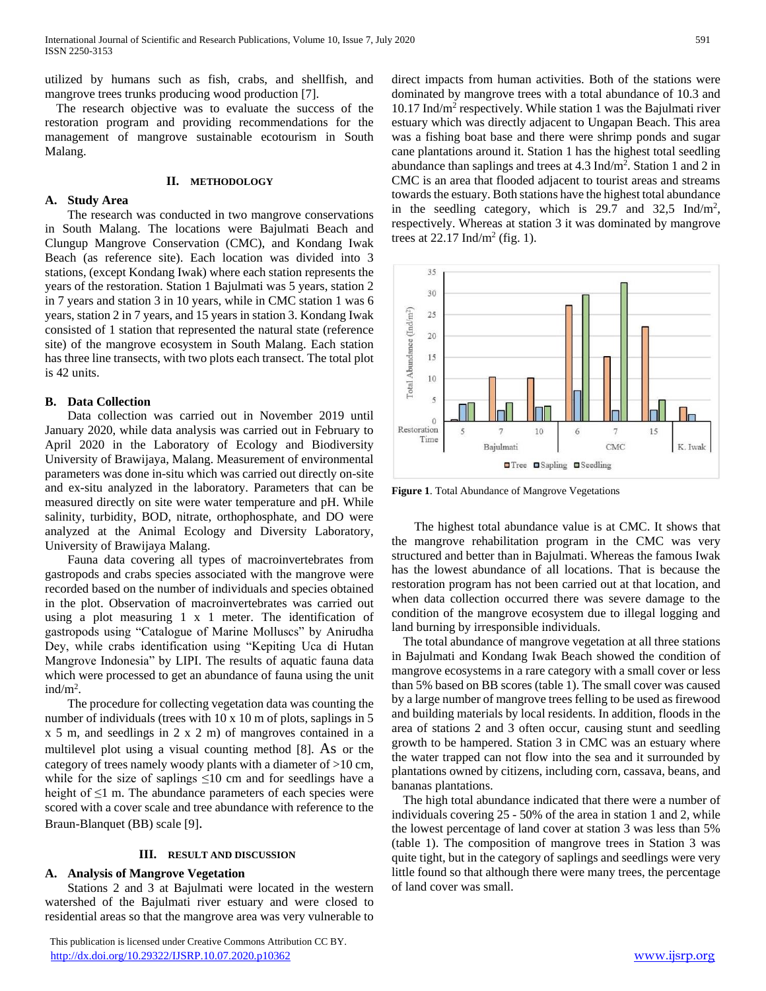utilized by humans such as fish, crabs, and shellfish, and mangrove trees trunks producing wood production [7].

The research objective was to evaluate the success of the restoration program and providing recommendations for the management of mangrove sustainable ecotourism in South Malang.

#### **II. METHODOLOGY**

## **A. Study Area**

The research was conducted in two mangrove conservations in South Malang. The locations were Bajulmati Beach and Clungup Mangrove Conservation (CMC), and Kondang Iwak Beach (as reference site). Each location was divided into 3 stations, (except Kondang Iwak) where each station represents the years of the restoration. Station 1 Bajulmati was 5 years, station 2 in 7 years and station 3 in 10 years, while in CMC station 1 was 6 years, station 2 in 7 years, and 15 years in station 3. Kondang Iwak consisted of 1 station that represented the natural state (reference site) of the mangrove ecosystem in South Malang. Each station has three line transects, with two plots each transect. The total plot is 42 units.

#### **B. Data Collection**

Data collection was carried out in November 2019 until January 2020, while data analysis was carried out in February to April 2020 in the Laboratory of Ecology and Biodiversity University of Brawijaya, Malang. Measurement of environmental parameters was done in-situ which was carried out directly on-site and ex-situ analyzed in the laboratory. Parameters that can be measured directly on site were water temperature and pH. While salinity, turbidity, BOD, nitrate, orthophosphate, and DO were analyzed at the Animal Ecology and Diversity Laboratory, University of Brawijaya Malang.

Fauna data covering all types of macroinvertebrates from gastropods and crabs species associated with the mangrove were recorded based on the number of individuals and species obtained in the plot. Observation of macroinvertebrates was carried out using a plot measuring 1 x 1 meter. The identification of gastropods using "Catalogue of Marine Molluscs" by Anirudha Dey, while crabs identification using "Kepiting Uca di Hutan Mangrove Indonesia" by LIPI. The results of aquatic fauna data which were processed to get an abundance of fauna using the unit ind/ $m^2$ .

The procedure for collecting vegetation data was counting the number of individuals (trees with 10 x 10 m of plots, saplings in 5 x 5 m, and seedlings in 2 x 2 m) of mangroves contained in a multilevel plot using a visual counting method [8]. As or the category of trees namely woody plants with a diameter of >10 cm, while for the size of saplings  $\leq 10$  cm and for seedlings have a height of  $\leq 1$  m. The abundance parameters of each species were scored with a cover scale and tree abundance with reference to the Braun-Blanquet (BB) scale [9].

#### **III. RESULT AND DISCUSSION**

## **A. Analysis of Mangrove Vegetation**

Stations 2 and 3 at Bajulmati were located in the western watershed of the Bajulmati river estuary and were closed to residential areas so that the mangrove area was very vulnerable to

direct impacts from human activities. Both of the stations were dominated by mangrove trees with a total abundance of 10.3 and 10.17 Ind/m<sup>2</sup> respectively. While station 1 was the Bajulmati river estuary which was directly adjacent to Ungapan Beach. This area was a fishing boat base and there were shrimp ponds and sugar cane plantations around it. Station 1 has the highest total seedling abundance than saplings and trees at 4.3 Ind/m<sup>2</sup> . Station 1 and 2 in CMC is an area that flooded adjacent to tourist areas and streams towards the estuary. Both stations have the highest total abundance in the seedling category, which is 29.7 and 32,5 Ind/m<sup>2</sup>, respectively. Whereas at station 3 it was dominated by mangrove trees at  $22.17 \text{ Ind/m}^2$  (fig. 1).



**Figure 1**. Total Abundance of Mangrove Vegetations

The highest total abundance value is at CMC. It shows that the mangrove rehabilitation program in the CMC was very structured and better than in Bajulmati. Whereas the famous Iwak has the lowest abundance of all locations. That is because the restoration program has not been carried out at that location, and when data collection occurred there was severe damage to the condition of the mangrove ecosystem due to illegal logging and land burning by irresponsible individuals.

The total abundance of mangrove vegetation at all three stations in Bajulmati and Kondang Iwak Beach showed the condition of mangrove ecosystems in a rare category with a small cover or less than 5% based on BB scores (table 1). The small cover was caused by a large number of mangrove trees felling to be used as firewood and building materials by local residents. In addition, floods in the area of stations 2 and 3 often occur, causing stunt and seedling growth to be hampered. Station 3 in CMC was an estuary where the water trapped can not flow into the sea and it surrounded by plantations owned by citizens, including corn, cassava, beans, and bananas plantations.

The high total abundance indicated that there were a number of individuals covering 25 - 50% of the area in station 1 and 2, while the lowest percentage of land cover at station 3 was less than 5% (table 1). The composition of mangrove trees in Station 3 was quite tight, but in the category of saplings and seedlings were very little found so that although there were many trees, the percentage of land cover was small.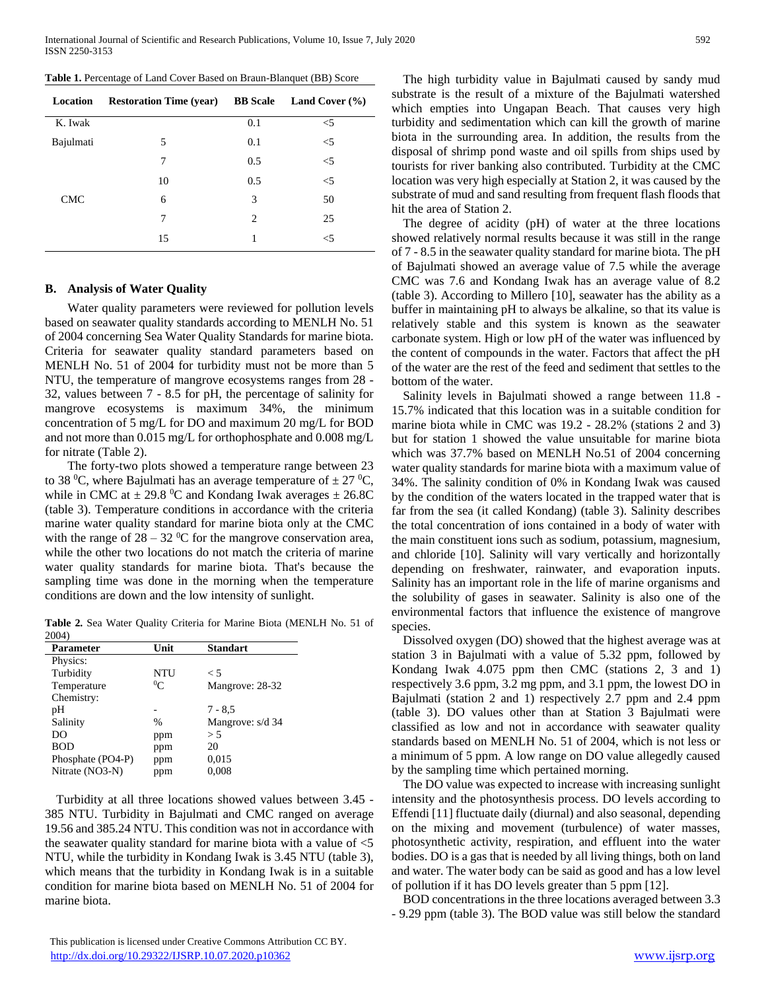|  |  |  |  |  |  |  | Table 1. Percentage of Land Cover Based on Braun-Blanquet (BB) Score |  |  |  |
|--|--|--|--|--|--|--|----------------------------------------------------------------------|--|--|--|
|--|--|--|--|--|--|--|----------------------------------------------------------------------|--|--|--|

| Location   | <b>Restoration Time (year)</b> | <b>BB</b> Scale | Land Cover $(\% )$ |
|------------|--------------------------------|-----------------|--------------------|
| K. Iwak    |                                | 0.1             | $\leq$ 5           |
| Bajulmati  | 5                              | 0.1             | $<$ 5              |
|            | 7                              | 0.5             | $<$ 5              |
|            | 10                             | 0.5             | $<$ 5              |
| <b>CMC</b> | 6                              | 3               | 50                 |
|            | 7                              | 2               | 25                 |
|            | 15                             | 1               | $<$ 5              |

## **B. Analysis of Water Quality**

Water quality parameters were reviewed for pollution levels based on seawater quality standards according to MENLH No. 51 of 2004 concerning Sea Water Quality Standards for marine biota. Criteria for seawater quality standard parameters based on MENLH No. 51 of 2004 for turbidity must not be more than 5 NTU, the temperature of mangrove ecosystems ranges from 28 - 32, values between 7 - 8.5 for pH, the percentage of salinity for mangrove ecosystems is maximum 34%, the minimum concentration of 5 mg/L for DO and maximum 20 mg/L for BOD and not more than 0.015 mg/L for orthophosphate and 0.008 mg/L for nitrate (Table 2).

The forty-two plots showed a temperature range between 23 to 38 <sup>0</sup>C, where Bajulmati has an average temperature of  $\pm$  27 <sup>0</sup>C, while in CMC at  $\pm$  29.8 °C and Kondang Iwak averages  $\pm$  26.8C (table 3). Temperature conditions in accordance with the criteria marine water quality standard for marine biota only at the CMC with the range of  $28 - 32$  °C for the mangrove conservation area, while the other two locations do not match the criteria of marine water quality standards for marine biota. That's because the sampling time was done in the morning when the temperature conditions are down and the low intensity of sunlight.

**Table 2.** Sea Water Quality Criteria for Marine Biota (MENLH No. 51 of 2004)

| Parameter         | Unit          | <b>Standart</b>  |
|-------------------|---------------|------------------|
| Physics:          |               |                  |
| Turbidity         | NTU           | $\leq 5$         |
| Temperature       | ${}^0C$       | Mangrove: 28-32  |
| Chemistry:        |               |                  |
| pH                |               | $7 - 8.5$        |
| Salinity          | $\frac{0}{0}$ | Mangrove: s/d 34 |
| DO                | ppm           | > 5              |
| <b>BOD</b>        | ppm           | 20               |
| Phosphate (PO4-P) | ppm           | 0,015            |
| Nitrate (NO3-N)   | ppm           | 0.008            |

Turbidity at all three locations showed values between 3.45 - 385 NTU. Turbidity in Bajulmati and CMC ranged on average 19.56 and 385.24 NTU. This condition was not in accordance with the seawater quality standard for marine biota with a value of <5 NTU, while the turbidity in Kondang Iwak is 3.45 NTU (table 3), which means that the turbidity in Kondang Iwak is in a suitable condition for marine biota based on MENLH No. 51 of 2004 for marine biota.

The high turbidity value in Bajulmati caused by sandy mud substrate is the result of a mixture of the Bajulmati watershed which empties into Ungapan Beach. That causes very high turbidity and sedimentation which can kill the growth of marine biota in the surrounding area. In addition, the results from the disposal of shrimp pond waste and oil spills from ships used by tourists for river banking also contributed. Turbidity at the CMC location was very high especially at Station 2, it was caused by the substrate of mud and sand resulting from frequent flash floods that hit the area of Station 2.

The degree of acidity (pH) of water at the three locations showed relatively normal results because it was still in the range of 7 - 8.5 in the seawater quality standard for marine biota. The pH of Bajulmati showed an average value of 7.5 while the average CMC was 7.6 and Kondang Iwak has an average value of 8.2 (table 3). According to Millero [10], seawater has the ability as a buffer in maintaining pH to always be alkaline, so that its value is relatively stable and this system is known as the seawater carbonate system. High or low pH of the water was influenced by the content of compounds in the water. Factors that affect the pH of the water are the rest of the feed and sediment that settles to the bottom of the water.

Salinity levels in Bajulmati showed a range between 11.8 - 15.7% indicated that this location was in a suitable condition for marine biota while in CMC was 19.2 - 28.2% (stations 2 and 3) but for station 1 showed the value unsuitable for marine biota which was 37.7% based on MENLH No.51 of 2004 concerning water quality standards for marine biota with a maximum value of 34%. The salinity condition of 0% in Kondang Iwak was caused by the condition of the waters located in the trapped water that is far from the sea (it called Kondang) (table 3). Salinity describes the total concentration of ions contained in a body of water with the main constituent ions such as sodium, potassium, magnesium, and chloride [10]. Salinity will vary vertically and horizontally depending on freshwater, rainwater, and evaporation inputs. Salinity has an important role in the life of marine organisms and the solubility of gases in seawater. Salinity is also one of the environmental factors that influence the existence of mangrove species.

Dissolved oxygen (DO) showed that the highest average was at station 3 in Bajulmati with a value of 5.32 ppm, followed by Kondang Iwak 4.075 ppm then CMC (stations 2, 3 and 1) respectively 3.6 ppm, 3.2 mg ppm, and 3.1 ppm, the lowest DO in Bajulmati (station 2 and 1) respectively 2.7 ppm and 2.4 ppm (table 3). DO values other than at Station 3 Bajulmati were classified as low and not in accordance with seawater quality standards based on MENLH No. 51 of 2004, which is not less or a minimum of 5 ppm. A low range on DO value allegedly caused by the sampling time which pertained morning.

The DO value was expected to increase with increasing sunlight intensity and the photosynthesis process. DO levels according to Effendi [11] fluctuate daily (diurnal) and also seasonal, depending on the mixing and movement (turbulence) of water masses, photosynthetic activity, respiration, and effluent into the water bodies. DO is a gas that is needed by all living things, both on land and water. The water body can be said as good and has a low level of pollution if it has DO levels greater than 5 ppm [12].

BOD concentrations in the three locations averaged between 3.3 - 9.29 ppm (table 3). The BOD value was still below the standard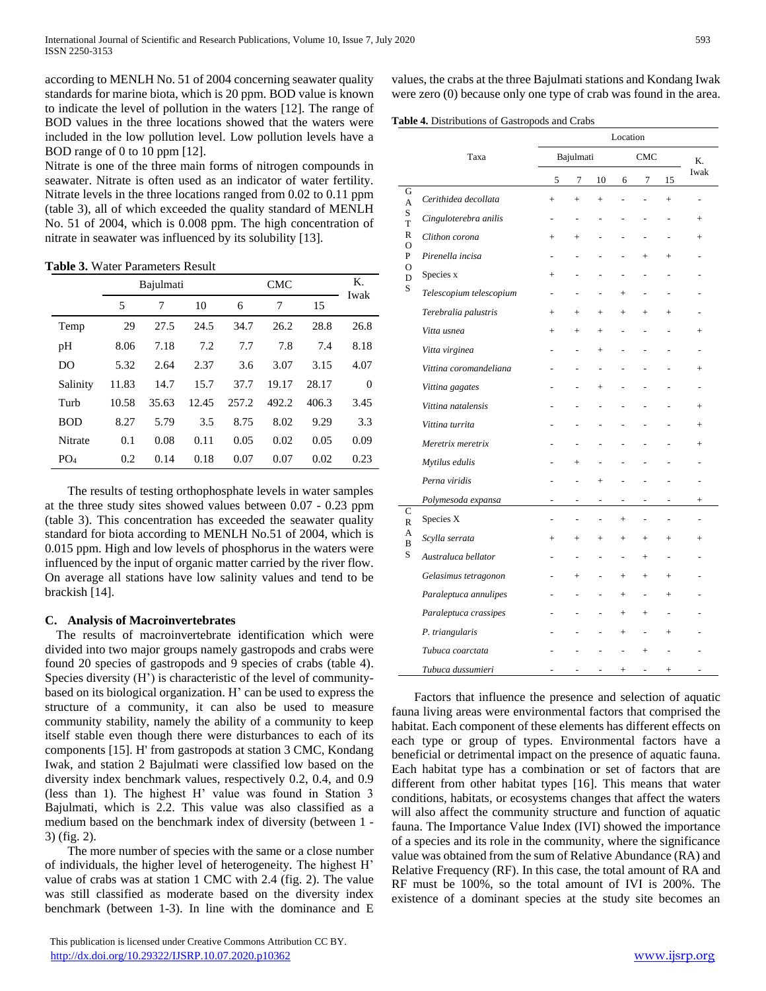according to MENLH No. 51 of 2004 concerning seawater quality standards for marine biota, which is 20 ppm. BOD value is known to indicate the level of pollution in the waters [12]. The range of BOD values in the three locations showed that the waters were included in the low pollution level. Low pollution levels have a BOD range of 0 to 10 ppm [12].

Nitrate is one of the three main forms of nitrogen compounds in seawater. Nitrate is often used as an indicator of water fertility. Nitrate levels in the three locations ranged from 0.02 to 0.11 ppm (table 3), all of which exceeded the quality standard of MENLH No. 51 of 2004, which is 0.008 ppm. The high concentration of nitrate in seawater was influenced by its solubility [13].

**Table 3.** Water Parameters Result

|                 |       | Bajulmati |       |       | Κ.<br>Iwak |       |          |
|-----------------|-------|-----------|-------|-------|------------|-------|----------|
|                 | 5     | 7         | 10    | 6     | 7          | 15    |          |
| Temp            | 29    | 27.5      | 24.5  | 34.7  | 26.2       | 28.8  | 26.8     |
| pH              | 8.06  | 7.18      | 7.2   | 7.7   | 7.8        | 7.4   | 8.18     |
| DO              | 5.32  | 2.64      | 2.37  | 3.6   | 3.07       | 3.15  | 4.07     |
| Salinity        | 11.83 | 14.7      | 15.7  | 37.7  | 19.17      | 28.17 | $\Omega$ |
| Turb            | 10.58 | 35.63     | 12.45 | 257.2 | 492.2      | 406.3 | 3.45     |
| <b>BOD</b>      | 8.27  | 5.79      | 3.5   | 8.75  | 8.02       | 9.29  | 3.3      |
| <b>Nitrate</b>  | 0.1   | 0.08      | 0.11  | 0.05  | 0.02       | 0.05  | 0.09     |
| PO <sub>4</sub> | 0.2   | 0.14      | 0.18  | 0.07  | 0.07       | 0.02  | 0.23     |

The results of testing orthophosphate levels in water samples at the three study sites showed values between 0.07 - 0.23 ppm (table 3). This concentration has exceeded the seawater quality standard for biota according to MENLH No.51 of 2004, which is 0.015 ppm. High and low levels of phosphorus in the waters were influenced by the input of organic matter carried by the river flow. On average all stations have low salinity values and tend to be brackish [14].

# **C. Analysis of Macroinvertebrates**

The results of macroinvertebrate identification which were divided into two major groups namely gastropods and crabs were found 20 species of gastropods and 9 species of crabs (table 4). Species diversity (H') is characteristic of the level of communitybased on its biological organization. H' can be used to express the structure of a community, it can also be used to measure community stability, namely the ability of a community to keep itself stable even though there were disturbances to each of its components [15]. H' from gastropods at station 3 CMC, Kondang Iwak, and station 2 Bajulmati were classified low based on the diversity index benchmark values, respectively 0.2, 0.4, and 0.9 (less than 1). The highest H' value was found in Station 3 Bajulmati, which is 2.2. This value was also classified as a medium based on the benchmark index of diversity (between 1 - 3) (fig. 2).

The more number of species with the same or a close number of individuals, the higher level of heterogeneity. The highest H' value of crabs was at station 1 CMC with 2.4 (fig. 2). The value was still classified as moderate based on the diversity index benchmark (between 1-3). In line with the dominance and E

 This publication is licensed under Creative Commons Attribution CC BY. <http://dx.doi.org/10.29322/IJSRP.10.07.2020.p10362> [www.ijsrp.org](http://ijsrp.org/)

values, the crabs at the three Bajulmati stations and Kondang Iwak were zero (0) because only one type of crab was found in the area.

**Table 4.** Distributions of Gastropods and Crabs

|        |                         | Location                 |                          |                |                |                          |                |                |  |
|--------|-------------------------|--------------------------|--------------------------|----------------|----------------|--------------------------|----------------|----------------|--|
|        | Taxa                    | Bajulmati                |                          | <b>CMC</b>     |                |                          | Κ.             |                |  |
|        |                         | 5                        | 7                        | 10             | 6              | 7                        | 15             | Iwak           |  |
| G<br>A | Cerithidea decollata    | $^{+}$                   | $\ddot{}$                | $\ddot{}$      | $\overline{a}$ | $\overline{a}$           | $^{+}$         | ÷,             |  |
| S<br>T | Cinguloterebra anilis   | ÷,                       | $\overline{a}$           |                |                |                          |                | $^{+}$         |  |
| R<br>O | Clithon corona          | $^{+}$                   | $^{+}$                   |                |                |                          |                | $^{+}$         |  |
| P      | Pirenella incisa        | $\overline{a}$           | $\overline{a}$           |                |                | $\ddot{}$                | $^{+}$         |                |  |
| О<br>D | Species x               | $^{+}$                   |                          |                |                |                          |                |                |  |
| S      | Telescopium telescopium | $\overline{\phantom{a}}$ | $\overline{\phantom{0}}$ |                | $^{+}$         | $\overline{\phantom{0}}$ |                | -              |  |
|        | Terebralia palustris    | $^{+}$                   | $^{+}$                   | $^{+}$         | $^{+}$         | $^{+}$                   | $^{+}$         |                |  |
|        | Vitta usnea             | $^{+}$                   | $^{+}$                   | $^{+}$         | $\overline{a}$ | ÷,                       |                | $^{+}$         |  |
|        | Vitta virginea          |                          | $\overline{a}$           | $^{+}$         |                |                          |                | $\overline{a}$ |  |
|        | Vittina coromandeliana  |                          |                          | $\overline{a}$ |                |                          |                | $^{+}$         |  |
|        | Vittina gagates         |                          |                          | $^{+}$         |                |                          |                |                |  |
|        | Vittina natalensis      |                          |                          |                |                |                          |                | $^{+}$         |  |
|        | Vittina turrita         |                          |                          |                |                |                          |                | $^{+}$         |  |
|        | Meretrix meretrix       |                          |                          |                |                |                          |                | $^{+}$         |  |
|        | Mytilus edulis          |                          | $^{+}$                   |                |                |                          |                |                |  |
|        | Perna viridis           |                          |                          | $\ddot{}$      |                |                          |                |                |  |
|        | Polymesoda expansa      | $\overline{a}$           | $\overline{a}$           | ÷,             | $\overline{a}$ | $\overline{a}$           | $\overline{a}$ | $^{+}$         |  |
| C<br>R | Species X               | $\overline{a}$           | $\frac{1}{2}$            | $\overline{a}$ | $^{+}$         | $\frac{1}{2}$            |                | $\overline{a}$ |  |
| А<br>B | Scylla serrata          | $^{+}$                   | $^{+}$                   | $^{+}$         | $^{+}$         | $^{+}$                   | $^{+}$         | $^{+}$         |  |
| S      | Australuca bellator     |                          | $\overline{a}$           |                | $\overline{a}$ | $^{+}$                   |                |                |  |
|        | Gelasimus tetragonon    |                          | $^{+}$                   |                | $^{+}$         | $^{+}$                   | $^{+}$         |                |  |
|        | Paraleptuca annulipes   |                          |                          | $\overline{a}$ | $^{+}$         | $\overline{a}$           | $^{+}$         |                |  |
|        | Paraleptuca crassipes   |                          |                          |                | $^{+}$         | $^{+}$                   |                |                |  |
|        | P. triangularis         |                          |                          |                | $^{+}$         | ÷,                       | $^{+}$         |                |  |
|        | Tubuca coarctata        |                          |                          |                |                | $^{+}$                   |                |                |  |
|        | Tubuca dussumieri       |                          |                          |                | $^{+}$         | $\overline{a}$           | $^{+}$         |                |  |

Factors that influence the presence and selection of aquatic fauna living areas were environmental factors that comprised the habitat. Each component of these elements has different effects on each type or group of types. Environmental factors have a beneficial or detrimental impact on the presence of aquatic fauna. Each habitat type has a combination or set of factors that are different from other habitat types [16]. This means that water conditions, habitats, or ecosystems changes that affect the waters will also affect the community structure and function of aquatic fauna. The Importance Value Index (IVI) showed the importance of a species and its role in the community, where the significance value was obtained from the sum of Relative Abundance (RA) and Relative Frequency (RF). In this case, the total amount of RA and RF must be 100%, so the total amount of IVI is 200%. The existence of a dominant species at the study site becomes an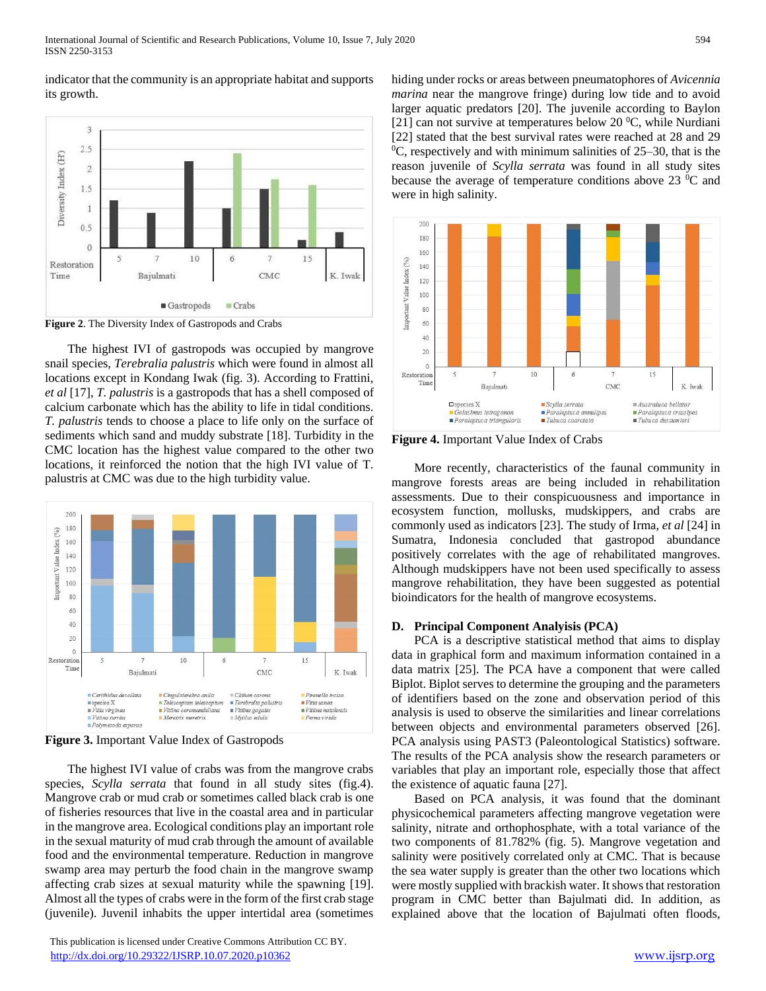indicator that the community is an appropriate habitat and supports its growth.



**Figure 2**. The Diversity Index of Gastropods and Crabs

The highest IVI of gastropods was occupied by mangrove snail species, *Terebralia palustris* which were found in almost all locations except in Kondang Iwak (fig. 3). According to Frattini, *et al* [17], *T. palustris* is a gastropods that has a shell composed of calcium carbonate which has the ability to life in tidal conditions. *T. palustris* tends to choose a place to life only on the surface of sediments which sand and muddy substrate [18]. Turbidity in the CMC location has the highest value compared to the other two locations, it reinforced the notion that the high IVI value of T. palustris at CMC was due to the high turbidity value.



**Figure 3.** Important Value Index of Gastropods

The highest IVI value of crabs was from the mangrove crabs species, *Scylla serrata* that found in all study sites (fig.4). Mangrove crab or mud crab or sometimes called black crab is one of fisheries resources that live in the coastal area and in particular in the mangrove area. Ecological conditions play an important role in the sexual maturity of mud crab through the amount of available food and the environmental temperature. Reduction in mangrove swamp area may perturb the food chain in the mangrove swamp affecting crab sizes at sexual maturity while the spawning [19]. Almost all the types of crabs were in the form of the first crab stage (juvenile). Juvenil inhabits the upper intertidal area (sometimes

 This publication is licensed under Creative Commons Attribution CC BY. <http://dx.doi.org/10.29322/IJSRP.10.07.2020.p10362> [www.ijsrp.org](http://ijsrp.org/)

hiding under rocks or areas between pneumatophores of *Avicennia marina* near the mangrove fringe) during low tide and to avoid larger aquatic predators [20]. The juvenile according to Baylon [21] can not survive at temperatures below 20  $^0C$ , while Nurdiani [22] stated that the best survival rates were reached at 28 and 29  $^{0}$ C, respectively and with minimum salinities of 25–30, that is the reason juvenile of *Scylla serrata* was found in all study sites because the average of temperature conditions above  $23\degree$ C and were in high salinity.



**Figure 4.** Important Value Index of Crabs

More recently, characteristics of the faunal community in mangrove forests areas are being included in rehabilitation assessments. Due to their conspicuousness and importance in ecosystem function, mollusks, mudskippers, and crabs are commonly used as indicators [23]. The study of Irma, *et al* [24] in Sumatra, Indonesia concluded that gastropod abundance positively correlates with the age of rehabilitated mangroves. Although mudskippers have not been used specifically to assess mangrove rehabilitation, they have been suggested as potential bioindicators for the health of mangrove ecosystems.

## **D. Principal Component Analyisis (PCA)**

PCA is a descriptive statistical method that aims to display data in graphical form and maximum information contained in a data matrix [25]. The PCA have a component that were called Biplot. Biplot serves to determine the grouping and the parameters of identifiers based on the zone and observation period of this analysis is used to observe the similarities and linear correlations between objects and environmental parameters observed [26]. PCA analysis using PAST3 (Paleontological Statistics) software. The results of the PCA analysis show the research parameters or variables that play an important role, especially those that affect the existence of aquatic fauna [27].

Based on PCA analysis, it was found that the dominant physicochemical parameters affecting mangrove vegetation were salinity, nitrate and orthophosphate, with a total variance of the two components of 81.782% (fig. 5). Mangrove vegetation and salinity were positively correlated only at CMC. That is because the sea water supply is greater than the other two locations which were mostly supplied with brackish water. It shows that restoration program in CMC better than Bajulmati did. In addition, as explained above that the location of Bajulmati often floods,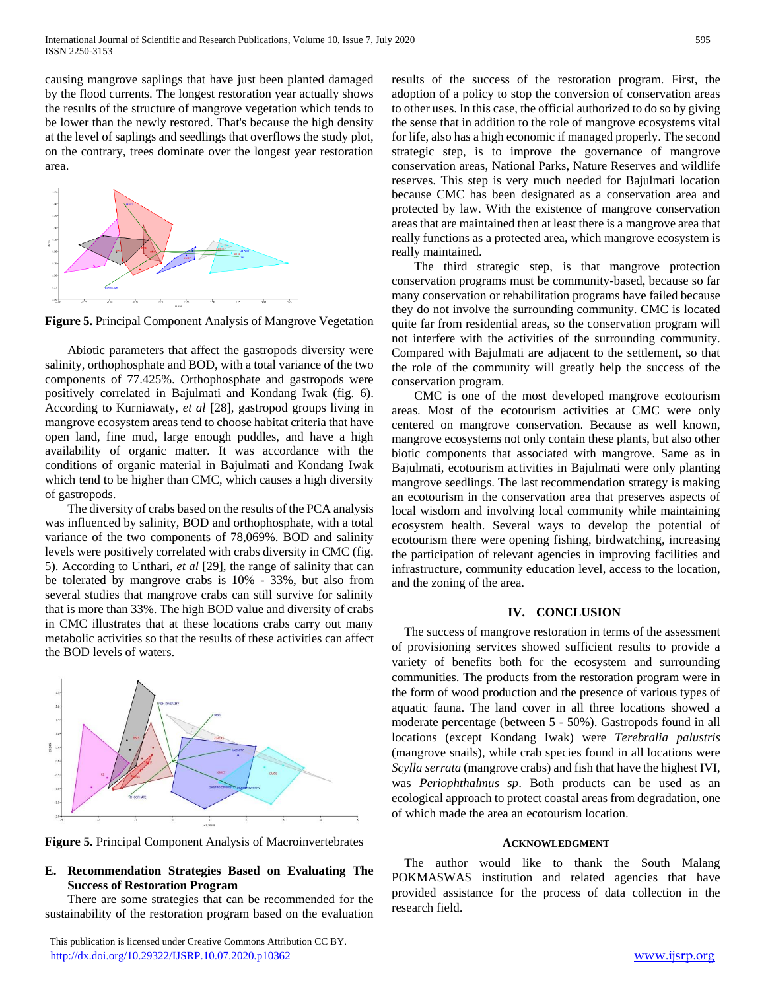causing mangrove saplings that have just been planted damaged by the flood currents. The longest restoration year actually shows the results of the structure of mangrove vegetation which tends to be lower than the newly restored. That's because the high density at the level of saplings and seedlings that overflows the study plot, on the contrary, trees dominate over the longest year restoration area.



**Figure 5.** Principal Component Analysis of Mangrove Vegetation

Abiotic parameters that affect the gastropods diversity were salinity, orthophosphate and BOD, with a total variance of the two components of 77.425%. Orthophosphate and gastropods were positively correlated in Bajulmati and Kondang Iwak (fig. 6). According to Kurniawaty, *et al* [28], gastropod groups living in mangrove ecosystem areas tend to choose habitat criteria that have open land, fine mud, large enough puddles, and have a high availability of organic matter. It was accordance with the conditions of organic material in Bajulmati and Kondang Iwak which tend to be higher than CMC, which causes a high diversity of gastropods.

The diversity of crabs based on the results of the PCA analysis was influenced by salinity, BOD and orthophosphate, with a total variance of the two components of 78,069%. BOD and salinity levels were positively correlated with crabs diversity in CMC (fig. 5). According to Unthari, *et al* [29], the range of salinity that can be tolerated by mangrove crabs is 10% - 33%, but also from several studies that mangrove crabs can still survive for salinity that is more than 33%. The high BOD value and diversity of crabs in CMC illustrates that at these locations crabs carry out many metabolic activities so that the results of these activities can affect the BOD levels of waters.



**Figure 5.** Principal Component Analysis of Macroinvertebrates

# **E. Recommendation Strategies Based on Evaluating The Success of Restoration Program**

There are some strategies that can be recommended for the sustainability of the restoration program based on the evaluation

results of the success of the restoration program. First, the adoption of a policy to stop the conversion of conservation areas to other uses. In this case, the official authorized to do so by giving the sense that in addition to the role of mangrove ecosystems vital for life, also has a high economic if managed properly. The second strategic step, is to improve the governance of mangrove conservation areas, National Parks, Nature Reserves and wildlife reserves. This step is very much needed for Bajulmati location because CMC has been designated as a conservation area and protected by law. With the existence of mangrove conservation areas that are maintained then at least there is a mangrove area that really functions as a protected area, which mangrove ecosystem is really maintained.

The third strategic step, is that mangrove protection conservation programs must be community-based, because so far many conservation or rehabilitation programs have failed because they do not involve the surrounding community. CMC is located quite far from residential areas, so the conservation program will not interfere with the activities of the surrounding community. Compared with Bajulmati are adjacent to the settlement, so that the role of the community will greatly help the success of the conservation program.

CMC is one of the most developed mangrove ecotourism areas. Most of the ecotourism activities at CMC were only centered on mangrove conservation. Because as well known, mangrove ecosystems not only contain these plants, but also other biotic components that associated with mangrove. Same as in Bajulmati, ecotourism activities in Bajulmati were only planting mangrove seedlings. The last recommendation strategy is making an ecotourism in the conservation area that preserves aspects of local wisdom and involving local community while maintaining ecosystem health. Several ways to develop the potential of ecotourism there were opening fishing, birdwatching, increasing the participation of relevant agencies in improving facilities and infrastructure, community education level, access to the location, and the zoning of the area.

# **IV. CONCLUSION**

The success of mangrove restoration in terms of the assessment of provisioning services showed sufficient results to provide a variety of benefits both for the ecosystem and surrounding communities. The products from the restoration program were in the form of wood production and the presence of various types of aquatic fauna. The land cover in all three locations showed a moderate percentage (between 5 - 50%). Gastropods found in all locations (except Kondang Iwak) were *Terebralia palustris* (mangrove snails), while crab species found in all locations were *Scylla serrata* (mangrove crabs) and fish that have the highest IVI, was *Periophthalmus sp*. Both products can be used as an ecological approach to protect coastal areas from degradation, one of which made the area an ecotourism location.

## **ACKNOWLEDGMENT**

The author would like to thank the South Malang POKMASWAS institution and related agencies that have provided assistance for the process of data collection in the research field.